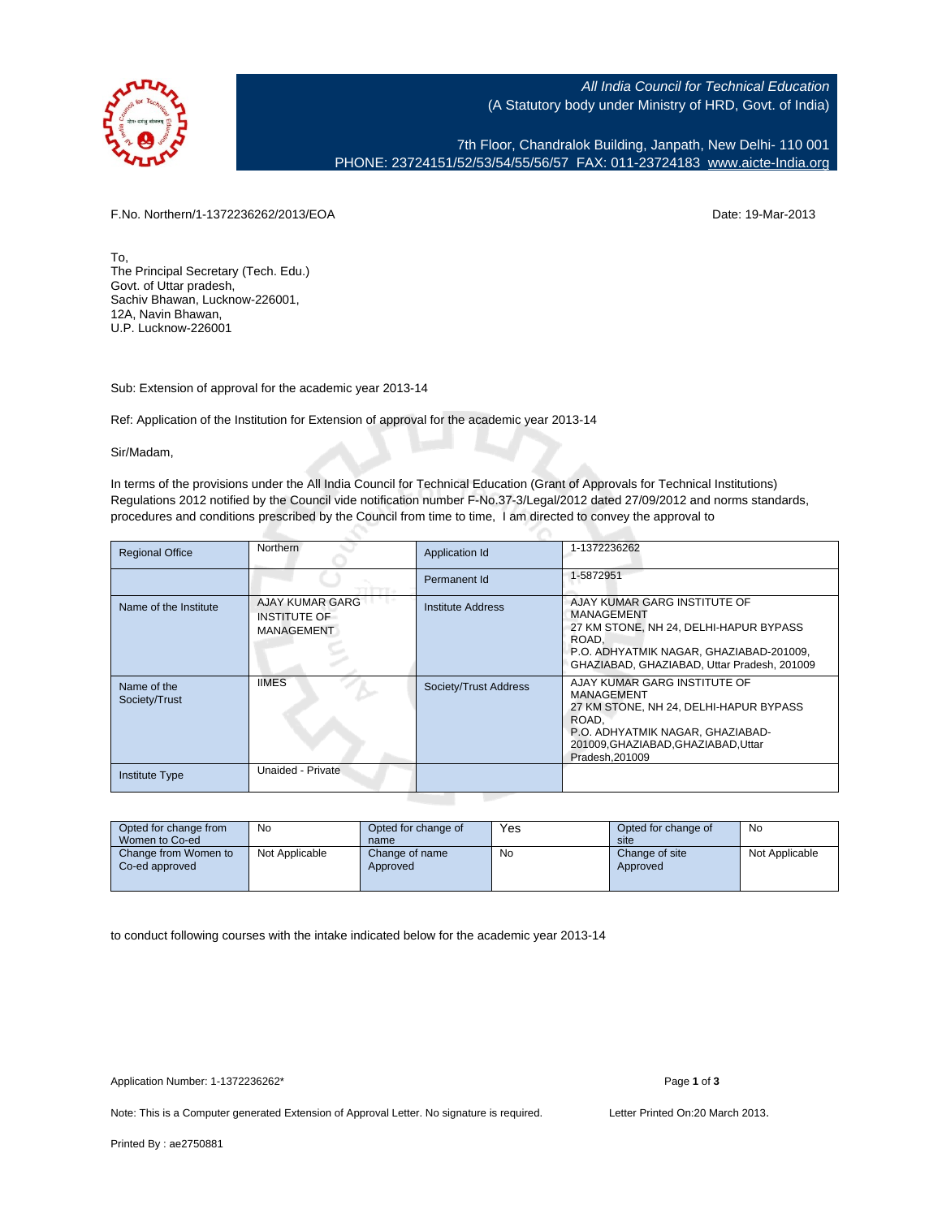

All India Council for Technical Education (A Statutory body under Ministry of HRD, Govt. of India)

7th Floor, Chandralok Building, Janpath, New Delhi- 110 001 PHONE: 23724151/52/53/54/55/56/57 FAX: 011-23724183 [www.aicte-India.org](http://www.aicte-India.org)

F.No. Northern/1-1372236262/2013/EOA Date: 19-Mar-2013

To, The Principal Secretary (Tech. Edu.) Govt. of Uttar pradesh, Sachiv Bhawan, Lucknow-226001, 12A, Navin Bhawan, U.P. Lucknow-226001

Sub: Extension of approval for the academic year 2013-14

Ref: Application of the Institution for Extension of approval for the academic year 2013-14

Sir/Madam,

In terms of the provisions under the All India Council for Technical Education (Grant of Approvals for Technical Institutions) Regulations 2012 notified by the Council vide notification number F-No.37-3/Legal/2012 dated 27/09/2012 and norms standards, procedures and conditions prescribed by the Council from time to time, I am directed to convey the approval to

| <b>Regional Office</b>       | <b>Northern</b>                                             | Application Id           | 1-1372236262                                                                                                                                                                               |
|------------------------------|-------------------------------------------------------------|--------------------------|--------------------------------------------------------------------------------------------------------------------------------------------------------------------------------------------|
|                              |                                                             | Permanent Id             | 1-5872951                                                                                                                                                                                  |
| Name of the Institute        | <b>AJAY KUMAR GARG</b><br><b>INSTITUTE OF</b><br>MANAGEMENT | <b>Institute Address</b> | AJAY KUMAR GARG INSTITUTE OF<br>MANAGEMENT<br>27 KM STONE, NH 24, DELHI-HAPUR BYPASS<br>ROAD.<br>P.O. ADHYATMIK NAGAR, GHAZIABAD-201009,<br>GHAZIABAD, GHAZIABAD, Uttar Pradesh, 201009    |
| Name of the<br>Society/Trust | <b>IIMES</b>                                                | Society/Trust Address    | AJAY KUMAR GARG INSTITUTE OF<br>MANAGEMENT<br>27 KM STONE, NH 24, DELHI-HAPUR BYPASS<br>ROAD.<br>P.O. ADHYATMIK NAGAR, GHAZIABAD-<br>201009, GHAZIABAD, GHAZIABAD, Uttar<br>Pradesh.201009 |
| <b>Institute Type</b>        | Unaided - Private                                           |                          |                                                                                                                                                                                            |

| Opted for change from<br>Women to Co-ed | No             | Opted for change of<br>name | Yes | Opted for change of<br>site | No             |
|-----------------------------------------|----------------|-----------------------------|-----|-----------------------------|----------------|
| Change from Women to<br>Co-ed approved  | Not Applicable | Change of name<br>Approved  | No  | Change of site<br>Approved  | Not Applicable |

to conduct following courses with the intake indicated below for the academic year 2013-14

Application Number: 1-1372236262\* Page **1** of **3**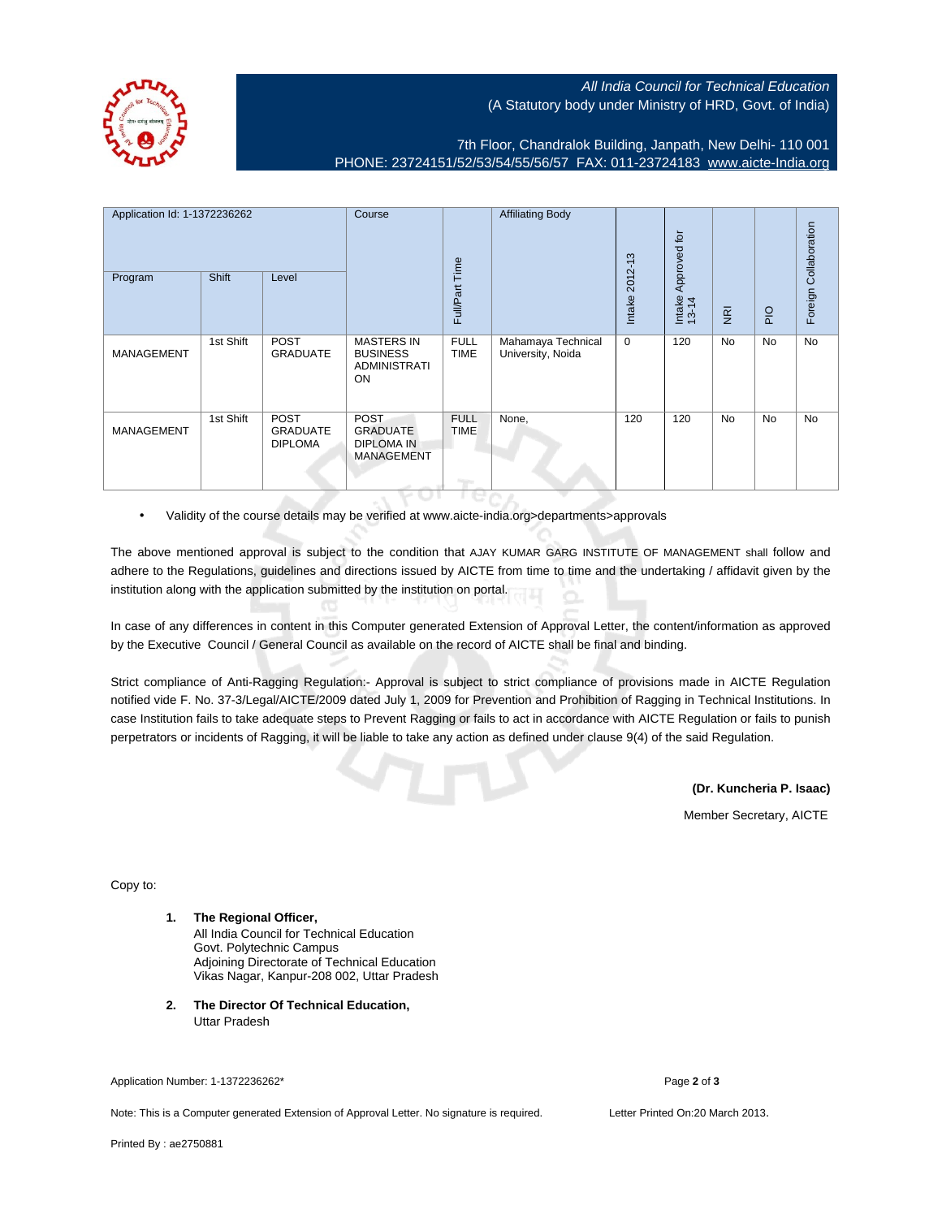## All India Council for Technical Education (A Statutory body under Ministry of HRD, Govt. of India)

7th Floor, Chandralok Building, Janpath, New Delhi- 110 001 PHONE: 23724151/52/53/54/55/56/57 FAX: 011-23724183 [www.aicte-India.org](http://www.aicte-India.org)

| Application Id: 1-1372236262<br>Program | <b>Shift</b> | Level                                            | Course                                                                   | Full/Part Time                             | <b>Affiliating Body</b>                 | $2012 - 13$<br>Intake | Approved for<br>Intake<br>13-14 | $\overline{g}$ | $rac{O}{P}$ | Foreign Collaboration |
|-----------------------------------------|--------------|--------------------------------------------------|--------------------------------------------------------------------------|--------------------------------------------|-----------------------------------------|-----------------------|---------------------------------|----------------|-------------|-----------------------|
| <b>MANAGEMENT</b>                       | 1st Shift    | <b>POST</b><br><b>GRADUATE</b>                   | <b>MASTERS IN</b><br><b>BUSINESS</b><br><b>ADMINISTRATI</b><br>ON        | <b>FULL</b><br><b>TIME</b>                 | Mahamaya Technical<br>University, Noida | $\mathbf 0$           | 120                             | <b>No</b>      | No          | No                    |
| <b>MANAGEMENT</b>                       | 1st Shift    | <b>POST</b><br><b>GRADUATE</b><br><b>DIPLOMA</b> | <b>POST</b><br><b>GRADUATE</b><br><b>DIPLOMA IN</b><br><b>MANAGEMENT</b> | <b>FULL</b><br><b>TIME</b><br><b>Tigre</b> | None,                                   | 120                   | 120                             | <b>No</b>      | No          | No                    |

• Validity of the course details may be verified at www.aicte-india.org>departments>approvals

The above mentioned approval is subject to the condition that AJAY KUMAR GARG INSTITUTE OF MANAGEMENT shall follow and adhere to the Regulations, guidelines and directions issued by AICTE from time to time and the undertaking / affidavit given by the institution along with the application submitted by the institution on portal.

In case of any differences in content in this Computer generated Extension of Approval Letter, the content/information as approved by the Executive Council / General Council as available on the record of AICTE shall be final and binding.

Strict compliance of Anti-Ragging Regulation:- Approval is subject to strict compliance of provisions made in AICTE Regulation notified vide F. No. 37-3/Legal/AICTE/2009 dated July 1, 2009 for Prevention and Prohibition of Ragging in Technical Institutions. In case Institution fails to take adequate steps to Prevent Ragging or fails to act in accordance with AICTE Regulation or fails to punish perpetrators or incidents of Ragging, it will be liable to take any action as defined under clause 9(4) of the said Regulation.

**(Dr. Kuncheria P. Isaac)**

Member Secretary, AICTE

Copy to:

- **1. The Regional Officer,** All India Council for Technical Education Govt. Polytechnic Campus Adjoining Directorate of Technical Education Vikas Nagar, Kanpur-208 002, Uttar Pradesh
- **2. The Director Of Technical Education,** Uttar Pradesh

Application Number: 1-1372236262\* Page **2** of **3**

Note: This is a Computer generated Extension of Approval Letter. No signature is required. Letter Printed On:20 March 2013.